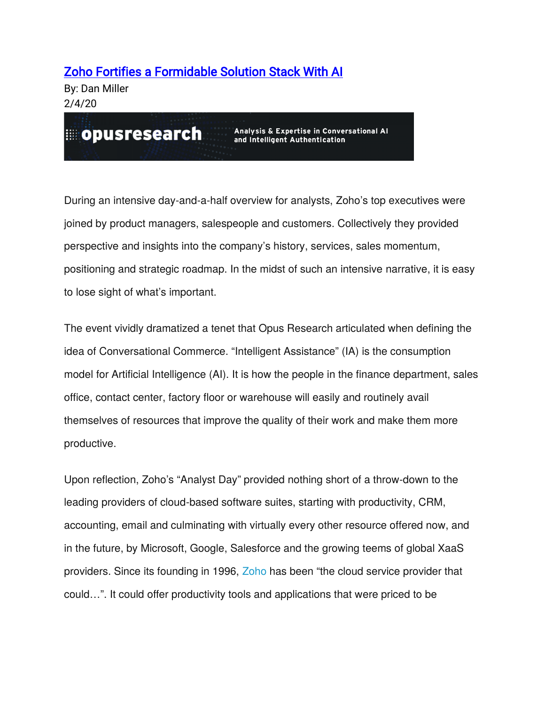## [Zoho Fortifies a Formidable Solution Stack With AI](https://opusresearch.net/wordpress/2020/02/04/zoho-fortifies-a-formidable-solution-stack-with-ai/)

By: Dan Miller 2/4/20

opusresearch

Analysis & Expertise in Conversational Al and Intelligent Authentication

During an intensive day-and-a-half overview for analysts, Zoho's top executives were joined by product managers, salespeople and customers. Collectively they provided perspective and insights into the company's history, services, sales momentum, positioning and strategic roadmap. In the midst of such an intensive narrative, it is easy to lose sight of what's important.

The event vividly dramatized a tenet that Opus Research articulated when defining the idea of Conversational Commerce. "Intelligent Assistance" (IA) is the consumption model for Artificial Intelligence (AI). It is how the people in the finance department, sales office, contact center, factory floor or warehouse will easily and routinely avail themselves of resources that improve the quality of their work and make them more productive.

Upon reflection, Zoho's "Analyst Day" provided nothing short of a throw-down to the leading providers of cloud-based software suites, starting with productivity, CRM, accounting, email and culminating with virtually every other resource offered now, and in the future, by Microsoft, Google, Salesforce and the growing teems of global XaaS providers. Since its founding in 1996, [Zoho](https://www.zoho.com/) has been "the cloud service provider that could…". It could offer productivity tools and applications that were priced to be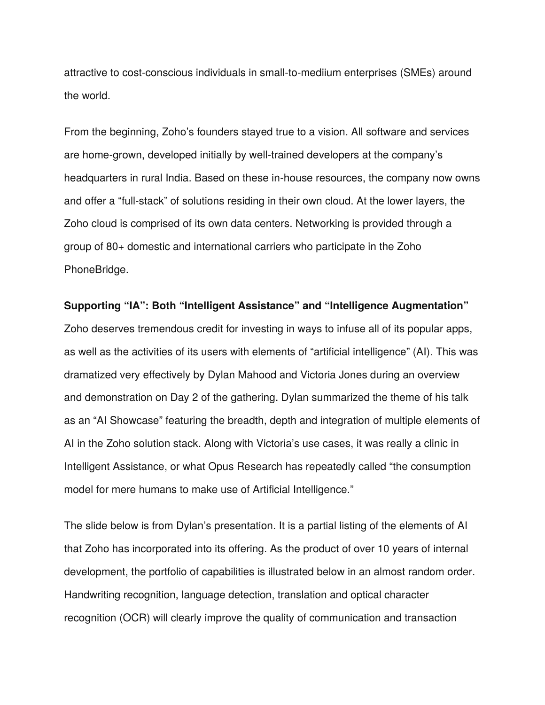attractive to cost-conscious individuals in small-to-mediium enterprises (SMEs) around the world.

From the beginning, Zoho's founders stayed true to a vision. All software and services are home-grown, developed initially by well-trained developers at the company's headquarters in rural India. Based on these in-house resources, the company now owns and offer a "full-stack" of solutions residing in their own cloud. At the lower layers, the Zoho cloud is comprised of its own data centers. Networking is provided through a group of 80+ domestic and international carriers who participate in the Zoho PhoneBridge.

**Supporting "IA": Both "Intelligent Assistance" and "Intelligence Augmentation"** Zoho deserves tremendous credit for investing in ways to infuse all of its popular apps, as well as the activities of its users with elements of "artificial intelligence" (AI). This was dramatized very effectively by Dylan Mahood and Victoria Jones during an overview and demonstration on Day 2 of the gathering. Dylan summarized the theme of his talk as an "AI Showcase" featuring the breadth, depth and integration of multiple elements of AI in the Zoho solution stack. Along with Victoria's use cases, it was really a clinic in Intelligent Assistance, or what Opus Research has repeatedly called "the consumption model for mere humans to make use of Artificial Intelligence."

The slide below is from Dylan's presentation. It is a partial listing of the elements of AI that Zoho has incorporated into its offering. As the product of over 10 years of internal development, the portfolio of capabilities is illustrated below in an almost random order. Handwriting recognition, language detection, translation and optical character recognition (OCR) will clearly improve the quality of communication and transaction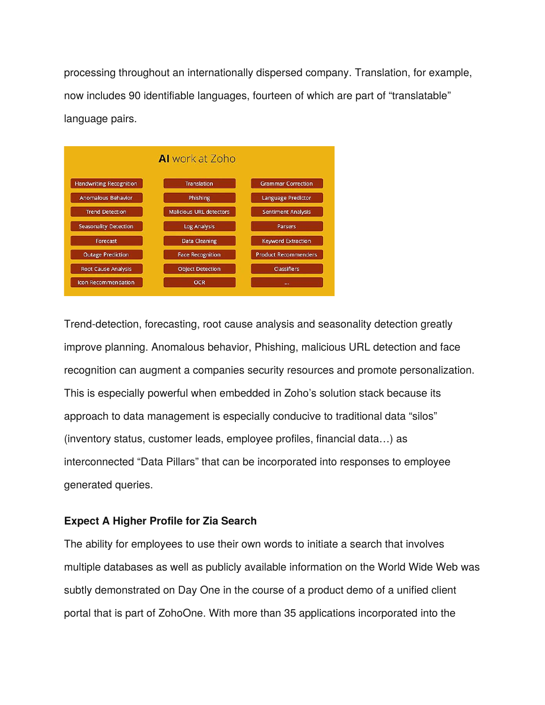processing throughout an internationally dispersed company. Translation, for example, now includes 90 identifiable languages, fourteen of which are part of "translatable" language pairs.



Trend-detection, forecasting, root cause analysis and seasonality detection greatly improve planning. Anomalous behavior, Phishing, malicious URL detection and face recognition can augment a companies security resources and promote personalization. This is especially powerful when embedded in Zoho's solution stack because its approach to data management is especially conducive to traditional data "silos" (inventory status, customer leads, employee profiles, financial data…) as interconnected "Data Pillars" that can be incorporated into responses to employee generated queries.

## **Expect A Higher Profile for Zia Search**

The ability for employees to use their own words to initiate a search that involves multiple databases as well as publicly available information on the World Wide Web was subtly demonstrated on Day One in the course of a product demo of a unified client portal that is part of ZohoOne. With more than 35 applications incorporated into the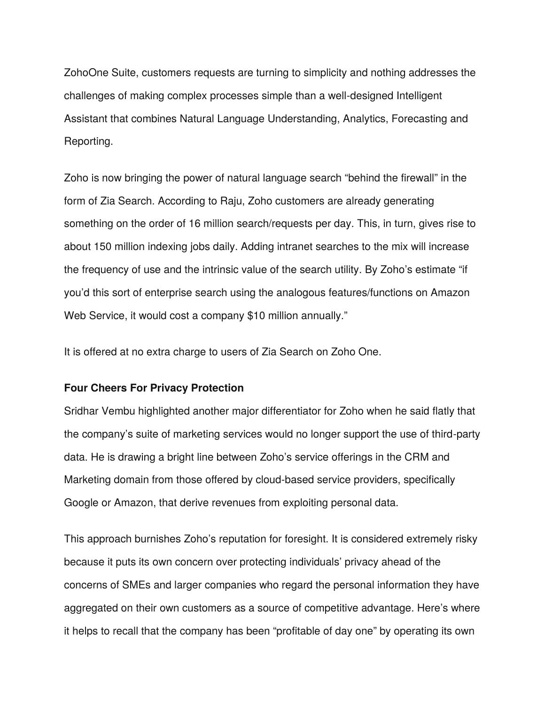ZohoOne Suite, customers requests are turning to simplicity and nothing addresses the challenges of making complex processes simple than a well-designed Intelligent Assistant that combines Natural Language Understanding, Analytics, Forecasting and Reporting.

Zoho is now bringing the power of natural language search "behind the firewall" in the form of Zia Search. According to Raju, Zoho customers are already generating something on the order of 16 million search/requests per day. This, in turn, gives rise to about 150 million indexing jobs daily. Adding intranet searches to the mix will increase the frequency of use and the intrinsic value of the search utility. By Zoho's estimate "if you'd this sort of enterprise search using the analogous features/functions on Amazon Web Service, it would cost a company \$10 million annually."

It is offered at no extra charge to users of Zia Search on Zoho One.

## **Four Cheers For Privacy Protection**

Sridhar Vembu highlighted another major differentiator for Zoho when he said flatly that the company's suite of marketing services would no longer support the use of third-party data. He is drawing a bright line between Zoho's service offerings in the CRM and Marketing domain from those offered by cloud-based service providers, specifically Google or Amazon, that derive revenues from exploiting personal data.

This approach burnishes Zoho's reputation for foresight. It is considered extremely risky because it puts its own concern over protecting individuals' privacy ahead of the concerns of SMEs and larger companies who regard the personal information they have aggregated on their own customers as a source of competitive advantage. Here's where it helps to recall that the company has been "profitable of day one" by operating its own